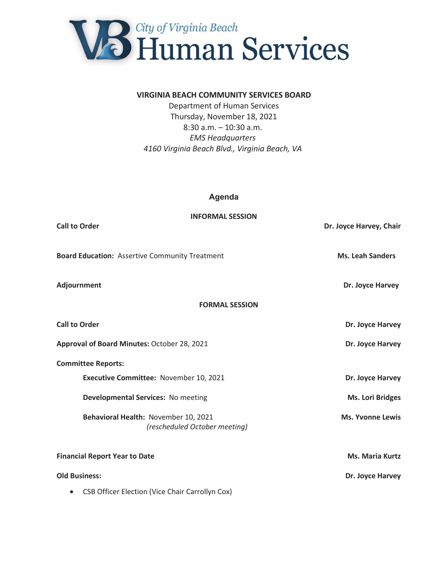

#### **VIRGINIA BEACH COMMUNITY SERVICES BOARD**

Department of Human Services Thursday, November 18, 2021 8:30 a.m. – 10:30 a.m. *EMS Headquarters 4160 Virginia Beach Blvd., Virginia Beach, VA* 

# **Agenda**

| <b>INFORMAL SESSION</b><br><b>Call to Order</b>                       | Dr. Joyce Harvey, Chair |
|-----------------------------------------------------------------------|-------------------------|
| <b>Board Education: Assertive Community Treatment</b>                 | <b>Ms. Leah Sanders</b> |
| <b>Adjournment</b>                                                    | Dr. Joyce Harvey        |
| <b>FORMAL SESSION</b>                                                 |                         |
| <b>Call to Order</b>                                                  | Dr. Joyce Harvey        |
| Approval of Board Minutes: October 28, 2021                           | Dr. Joyce Harvey        |
| <b>Committee Reports:</b>                                             |                         |
| Executive Committee: November 10, 2021                                | Dr. Joyce Harvey        |
| Developmental Services: No meeting                                    | <b>Ms. Lori Bridges</b> |
| Behavioral Health: November 10, 2021<br>(rescheduled October meeting) | <b>Ms. Yvonne Lewis</b> |
| <b>Financial Report Year to Date</b>                                  | <b>Ms. Maria Kurtz</b>  |

**Old Business:** Dr. Joyce Harvey **Dr. Joyce Harvey** 

• CSB Officer Election (Vice Chair Carrollyn Cox)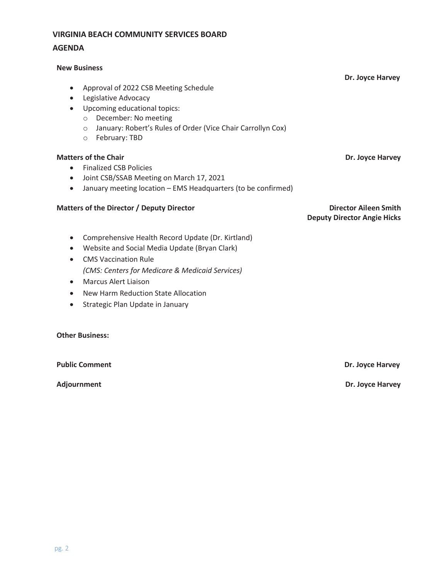# **VIRGINIA BEACH COMMUNITY SERVICES BOARD AGENDA**

#### **New Business**

 **Dr. Joyce Harvey**  • Approval of 2022 CSB Meeting Schedule

- Legislative Advocacy
- Upcoming educational topics:
	- o December: No meeting
	- o January: Robert's Rules of Order (Vice Chair Carrollyn Cox)
	- o February: TBD

#### **Matters of the Chair Chair Chair Chair Chair Chair Chair Chair Chair Chair Chair Chair Chair Chair Chair Chair Chair Chair Chair Chair Chair Chair Chair Chair Chair Chair Chair Chair Chair Chair Chair Chair Chair Chair Ch**

- Finalized CSB Policies
- Joint CSB/SSAB Meeting on March 17, 2021
- January meeting location EMS Headquarters (to be confirmed)

#### **Matters of the Director / Deputy Director Director Aileen Smith**

**Deputy Director Angie Hicks** 

- Comprehensive Health Record Update (Dr. Kirtland)
- Website and Social Media Update (Bryan Clark)
- CMS Vaccination Rule *(CMS: Centers for Medicare & Medicaid Services)*
- Marcus Alert Liaison
- New Harm Reduction State Allocation
- Strategic Plan Update in January

## **Other Business:**

**Public Comment Dr. Joyce Harvey Dr. Joyce Harvey Dr. Joyce Harvey** 

**Adjournment Dr. Joyce Harvey**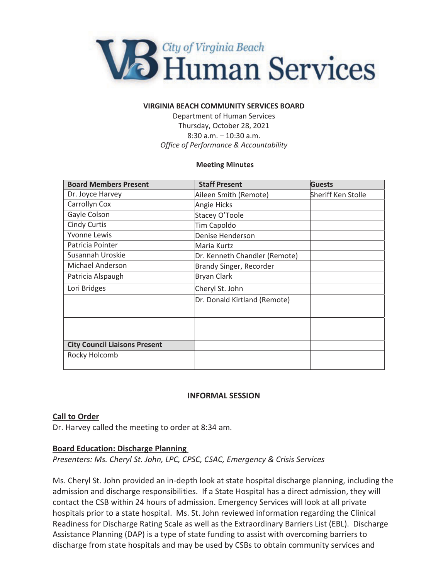

#### **VIRGINIA BEACH COMMUNITY SERVICES BOARD**

Department of Human Services Thursday, October 28, 2021 8:30 a.m. – 10:30 a.m. *Office of Performance & Accountability* 

#### **Meeting Minutes**

| <b>Board Members Present</b>         | <b>Staff Present</b>          | <b>Guests</b>      |
|--------------------------------------|-------------------------------|--------------------|
| Dr. Joyce Harvey                     | Aileen Smith (Remote)         | Sheriff Ken Stolle |
| Carrollyn Cox                        | Angie Hicks                   |                    |
| Gayle Colson                         | Stacey O'Toole                |                    |
| <b>Cindy Curtis</b>                  | Tim Capoldo                   |                    |
| <b>Yvonne Lewis</b>                  | Denise Henderson              |                    |
| Patricia Pointer                     | Maria Kurtz                   |                    |
| Susannah Uroskie                     | Dr. Kenneth Chandler (Remote) |                    |
| Michael Anderson                     | Brandy Singer, Recorder       |                    |
| Patricia Alspaugh                    | <b>Bryan Clark</b>            |                    |
| Lori Bridges                         | Cheryl St. John               |                    |
|                                      | Dr. Donald Kirtland (Remote)  |                    |
|                                      |                               |                    |
|                                      |                               |                    |
|                                      |                               |                    |
| <b>City Council Liaisons Present</b> |                               |                    |
| Rocky Holcomb                        |                               |                    |
|                                      |                               |                    |

# **INFORMAL SESSION**

#### **Call to Order**

Dr. Harvey called the meeting to order at 8:34 am.

#### **Board Education: Discharge Planning**

*Presenters: Ms. Cheryl St. John, LPC, CPSC, CSAC, Emergency & Crisis Services* 

Ms. Cheryl St. John provided an in-depth look at state hospital discharge planning, including the admission and discharge responsibilities. If a State Hospital has a direct admission, they will contact the CSB within 24 hours of admission. Emergency Services will look at all private hospitals prior to a state hospital. Ms. St. John reviewed information regarding the Clinical Readiness for Discharge Rating Scale as well as the Extraordinary Barriers List (EBL). Discharge Assistance Planning (DAP) is a type of state funding to assist with overcoming barriers to discharge from state hospitals and may be used by CSBs to obtain community services and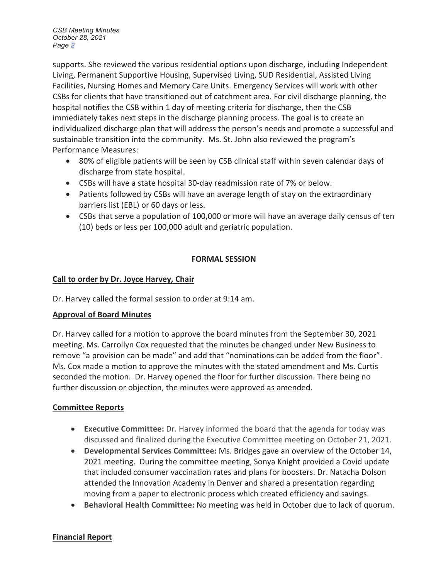*CSB Meeting Minutes October 28, 2021 Page 2*

supports. She reviewed the various residential options upon discharge, including Independent Living, Permanent Supportive Housing, Supervised Living, SUD Residential, Assisted Living Facilities, Nursing Homes and Memory Care Units. Emergency Services will work with other CSBs for clients that have transitioned out of catchment area. For civil discharge planning, the hospital notifies the CSB within 1 day of meeting criteria for discharge, then the CSB immediately takes next steps in the discharge planning process. The goal is to create an individualized discharge plan that will address the person's needs and promote a successful and sustainable transition into the community. Ms. St. John also reviewed the program's Performance Measures:

- 80% of eligible patients will be seen by CSB clinical staff within seven calendar days of discharge from state hospital.
- CSBs will have a state hospital 30-day readmission rate of 7% or below.
- Patients followed by CSBs will have an average length of stay on the extraordinary barriers list (EBL) or 60 days or less.
- CSBs that serve a population of 100,000 or more will have an average daily census of ten (10) beds or less per 100,000 adult and geriatric population.

# **FORMAL SESSION**

# **Call to order by Dr. Joyce Harvey, Chair**

Dr. Harvey called the formal session to order at 9:14 am.

# **Approval of Board Minutes**

Dr. Harvey called for a motion to approve the board minutes from the September 30, 2021 meeting. Ms. Carrollyn Cox requested that the minutes be changed under New Business to remove "a provision can be made" and add that "nominations can be added from the floor". Ms. Cox made a motion to approve the minutes with the stated amendment and Ms. Curtis seconded the motion. Dr. Harvey opened the floor for further discussion. There being no further discussion or objection, the minutes were approved as amended.

# **Committee Reports**

- **Executive Committee:** Dr. Harvey informed the board that the agenda for today was discussed and finalized during the Executive Committee meeting on October 21, 2021.
- x **Developmental Services Committee:** Ms. Bridges gave an overview of the October 14, 2021 meeting. During the committee meeting, Sonya Knight provided a Covid update that included consumer vaccination rates and plans for boosters. Dr. Natacha Dolson attended the Innovation Academy in Denver and shared a presentation regarding moving from a paper to electronic process which created efficiency and savings.
- **Behavioral Health Committee:** No meeting was held in October due to lack of quorum.

# **Financial Report**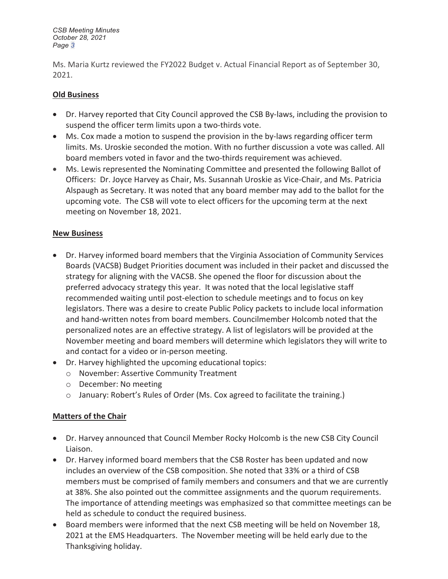*CSB Meeting Minutes October 28, 2021 Page 3*

Ms. Maria Kurtz reviewed the FY2022 Budget v. Actual Financial Report as of September 30, 2021.

# **Old Business**

- Dr. Harvey reported that City Council approved the CSB By-laws, including the provision to suspend the officer term limits upon a two-thirds vote.
- Ms. Cox made a motion to suspend the provision in the by-laws regarding officer term limits. Ms. Uroskie seconded the motion. With no further discussion a vote was called. All board members voted in favor and the two-thirds requirement was achieved.
- Ms. Lewis represented the Nominating Committee and presented the following Ballot of Officers: Dr. Joyce Harvey as Chair, Ms. Susannah Uroskie as Vice-Chair, and Ms. Patricia Alspaugh as Secretary. It was noted that any board member may add to the ballot for the upcoming vote. The CSB will vote to elect officers for the upcoming term at the next meeting on November 18, 2021.

# **New Business**

- Dr. Harvey informed board members that the Virginia Association of Community Services Boards (VACSB) Budget Priorities document was included in their packet and discussed the strategy for aligning with the VACSB. She opened the floor for discussion about the preferred advocacy strategy this year. It was noted that the local legislative staff recommended waiting until post-election to schedule meetings and to focus on key legislators. There was a desire to create Public Policy packets to include local information and hand-written notes from board members. Councilmember Holcomb noted that the personalized notes are an effective strategy. A list of legislators will be provided at the November meeting and board members will determine which legislators they will write to and contact for a video or in-person meeting.
- Dr. Harvey highlighted the upcoming educational topics:
	- o November: Assertive Community Treatment
	- o December: No meeting
	- $\circ$  January: Robert's Rules of Order (Ms. Cox agreed to facilitate the training.)

# **Matters of the Chair**

- Dr. Harvey announced that Council Member Rocky Holcomb is the new CSB City Council Liaison.
- Dr. Harvey informed board members that the CSB Roster has been updated and now includes an overview of the CSB composition. She noted that 33% or a third of CSB members must be comprised of family members and consumers and that we are currently at 38%. She also pointed out the committee assignments and the quorum requirements. The importance of attending meetings was emphasized so that committee meetings can be held as schedule to conduct the required business.
- Board members were informed that the next CSB meeting will be held on November 18, 2021 at the EMS Headquarters. The November meeting will be held early due to the Thanksgiving holiday.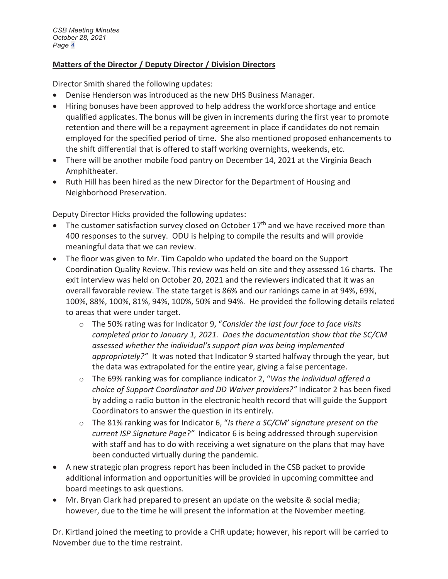# **Matters of the Director / Deputy Director / Division Directors**

Director Smith shared the following updates:

- Denise Henderson was introduced as the new DHS Business Manager.
- Hiring bonuses have been approved to help address the workforce shortage and entice qualified applicates. The bonus will be given in increments during the first year to promote retention and there will be a repayment agreement in place if candidates do not remain employed for the specified period of time. She also mentioned proposed enhancements to the shift differential that is offered to staff working overnights, weekends, etc.
- There will be another mobile food pantry on December 14, 2021 at the Virginia Beach Amphitheater.
- Ruth Hill has been hired as the new Director for the Department of Housing and Neighborhood Preservation.

Deputy Director Hicks provided the following updates:

- The customer satisfaction survey closed on October  $17<sup>th</sup>$  and we have received more than 400 responses to the survey. ODU is helping to compile the results and will provide meaningful data that we can review.
- The floor was given to Mr. Tim Capoldo who updated the board on the Support Coordination Quality Review. This review was held on site and they assessed 16 charts. The exit interview was held on October 20, 2021 and the reviewers indicated that it was an overall favorable review. The state target is 86% and our rankings came in at 94%, 69%, 100%, 88%, 100%, 81%, 94%, 100%, 50% and 94%. He provided the following details related to areas that were under target.
	- o The 50% rating was for Indicator 9, "*Consider the last four face to face visits completed prior to January 1, 2021. Does the documentation show that the SC/CM assessed whether the individual's support plan was being implemented appropriately?"* It was noted that Indicator 9 started halfway through the year, but the data was extrapolated for the entire year, giving a false percentage.
	- o The 69% ranking was for compliance indicator 2, "*Was the individual offered a choice of Support Coordinator and DD Waiver providers?"* Indicator 2 has been fixed by adding a radio button in the electronic health record that will guide the Support Coordinators to answer the question in its entirely.
	- o The 81% ranking was for Indicator 6, "*Is there a SC/CM' signature present on the current ISP Signature Page?"* Indicator 6 is being addressed through supervision with staff and has to do with receiving a wet signature on the plans that may have been conducted virtually during the pandemic.
- A new strategic plan progress report has been included in the CSB packet to provide additional information and opportunities will be provided in upcoming committee and board meetings to ask questions.
- Mr. Bryan Clark had prepared to present an update on the website & social media; however, due to the time he will present the information at the November meeting.

Dr. Kirtland joined the meeting to provide a CHR update; however, his report will be carried to November due to the time restraint.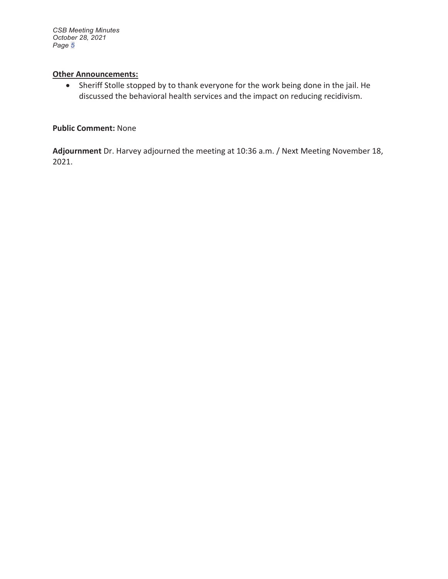*CSB Meeting Minutes October 28, 2021 Page 5*

## **Other Announcements:**

• Sheriff Stolle stopped by to thank everyone for the work being done in the jail. He discussed the behavioral health services and the impact on reducing recidivism.

## **Public Comment:** None

**Adjournment** Dr. Harvey adjourned the meeting at 10:36 a.m. / Next Meeting November 18, 2021.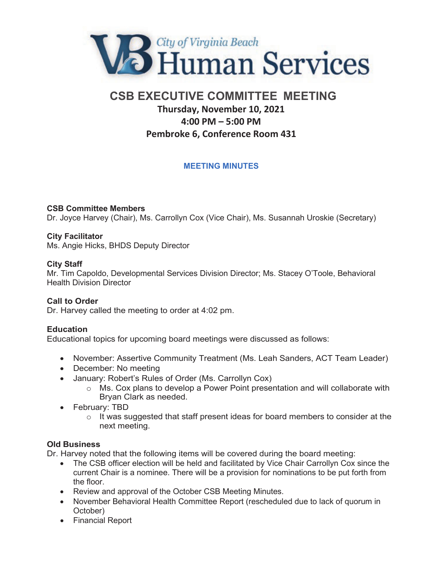

# **CSB EXECUTIVE COMMITTEE MEETING Thursday, November 10, 2021 4:00 PM – 5:00 PM Pembroke 6, Conference Room 431**

# **MEETING MINUTES**

# **CSB Committee Members**

Dr. Joyce Harvey (Chair), Ms. Carrollyn Cox (Vice Chair), Ms. Susannah Uroskie (Secretary)

#### **City Facilitator**

Ms. Angie Hicks, BHDS Deputy Director

#### **City Staff**

Mr. Tim Capoldo, Developmental Services Division Director; Ms. Stacey O'Toole, Behavioral Health Division Director

#### **Call to Order**

Dr. Harvey called the meeting to order at 4:02 pm.

#### **Education**

Educational topics for upcoming board meetings were discussed as follows:

- November: Assertive Community Treatment (Ms. Leah Sanders, ACT Team Leader)
- December: No meeting
- January: Robert's Rules of Order (Ms. Carrollyn Cox)
	- o Ms. Cox plans to develop a Power Point presentation and will collaborate with Bryan Clark as needed.
- February: TBD
	- $\circ$  It was suggested that staff present ideas for board members to consider at the next meeting.

#### **Old Business**

Dr. Harvey noted that the following items will be covered during the board meeting:

- The CSB officer election will be held and facilitated by Vice Chair Carrollyn Cox since the current Chair is a nominee. There will be a provision for nominations to be put forth from the floor.
- Review and approval of the October CSB Meeting Minutes.
- November Behavioral Health Committee Report (rescheduled due to lack of quorum in October)
- Financial Report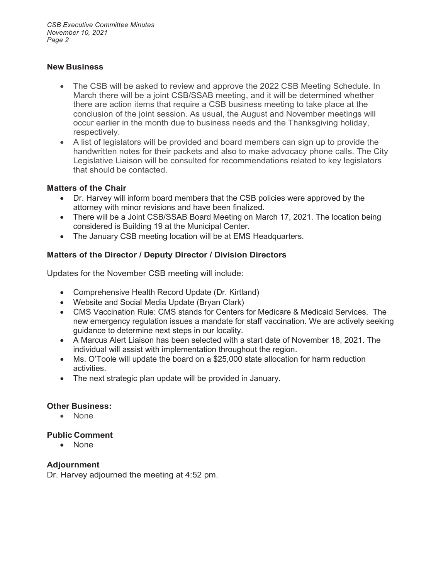*CSB Executive Committee Minutes November 10, 2021 Page 2*

# **New Business**

- The CSB will be asked to review and approve the 2022 CSB Meeting Schedule. In March there will be a joint CSB/SSAB meeting, and it will be determined whether there are action items that require a CSB business meeting to take place at the conclusion of the joint session. As usual, the August and November meetings will occur earlier in the month due to business needs and the Thanksgiving holiday, respectively.
- A list of legislators will be provided and board members can sign up to provide the handwritten notes for their packets and also to make advocacy phone calls. The City Legislative Liaison will be consulted for recommendations related to key legislators that should be contacted.

# **Matters of the Chair**

- Dr. Harvey will inform board members that the CSB policies were approved by the attorney with minor revisions and have been finalized.
- There will be a Joint CSB/SSAB Board Meeting on March 17, 2021. The location being considered is Building 19 at the Municipal Center.
- The January CSB meeting location will be at EMS Headquarters.

# **Matters of the Director / Deputy Director / Division Directors**

Updates for the November CSB meeting will include:

- Comprehensive Health Record Update (Dr. Kirtland)
- Website and Social Media Update (Bryan Clark)
- CMS Vaccination Rule: CMS stands for Centers for Medicare & Medicaid Services. The new emergency regulation issues a mandate for staff vaccination. We are actively seeking guidance to determine next steps in our locality.
- A Marcus Alert Liaison has been selected with a start date of November 18, 2021. The individual will assist with implementation throughout the region.
- Ms. O'Toole will update the board on a \$25,000 state allocation for harm reduction activities.
- The next strategic plan update will be provided in January.

# **Other Business:**

• None

# **Public Comment**

 $\bullet$  None

# **Adjournment**

Dr. Harvey adjourned the meeting at 4:52 pm.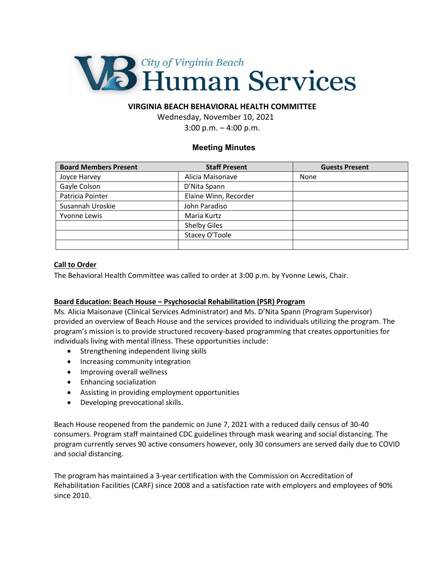

## **VIRGINIA BEACH BEHAVIORAL HEALTH COMMITTEE**

Wednesday, November 10, 2021 3:00 p.m. – 4:00 p.m.

#### **Meeting Minutes**

| <b>Board Members Present</b> | <b>Staff Present</b>  | <b>Guests Present</b> |
|------------------------------|-----------------------|-----------------------|
| Joyce Harvey                 | Alicia Maisonave      | None                  |
| Gayle Colson                 | D'Nita Spann          |                       |
| Patricia Pointer             | Elaine Winn, Recorder |                       |
| Susannah Uroskie             | John Paradiso         |                       |
| Yvonne Lewis                 | Maria Kurtz           |                       |
|                              | <b>Shelby Giles</b>   |                       |
|                              | Stacey O'Toole        |                       |
|                              |                       |                       |

#### **Call to Order**

The Behavioral Health Committee was called to order at 3:00 p.m. by Yvonne Lewis, Chair.

#### **Board Education: Beach House – Psychosocial Rehabilitation (PSR) Program**

Ms. Alicia Maisonave (Clinical Services Administrator) and Ms. D'Nita Spann (Program Supervisor) provided an overview of Beach House and the services provided to individuals utilizing the program. The program's mission is to provide structured recovery-based programming that creates opportunities for individuals living with mental illness. These opportunities include:

- Strengthening independent living skills
- Increasing community integration
- Improving overall wellness
- Enhancing socialization
- Assisting in providing employment opportunities
- Developing prevocational skills.

Beach House reopened from the pandemic on June 7, 2021 with a reduced daily census of 30-40 consumers. Program staff maintained CDC guidelines through mask wearing and social distancing. The program currently serves 90 active consumers however, only 30 consumers are served daily due to COVID and social distancing.

The program has maintained a 3-year certification with the Commission on Accreditation of Rehabilitation Facilities (CARF) since 2008 and a satisfaction rate with employers and employees of 90% since 2010.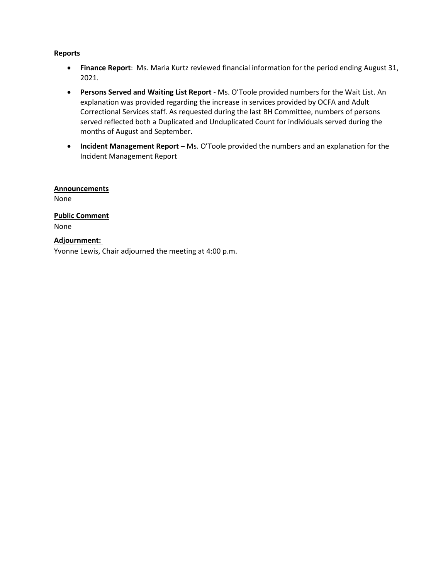#### **Reports**

- **Finance Report**: Ms. Maria Kurtz reviewed financial information for the period ending August 31, 2021.
- **Persons Served and Waiting List Report** Ms. O'Toole provided numbers for the Wait List. An explanation was provided regarding the increase in services provided by OCFA and Adult Correctional Services staff. As requested during the last BH Committee, numbers of persons served reflected both a Duplicated and Unduplicated Count for individuals served during the months of August and September.
- **Incident Management Report** Ms. O'Toole provided the numbers and an explanation for the Incident Management Report

# **Announcements**

None

# **Public Comment**

None

#### **Adjournment:**

Yvonne Lewis, Chair adjourned the meeting at 4:00 p.m.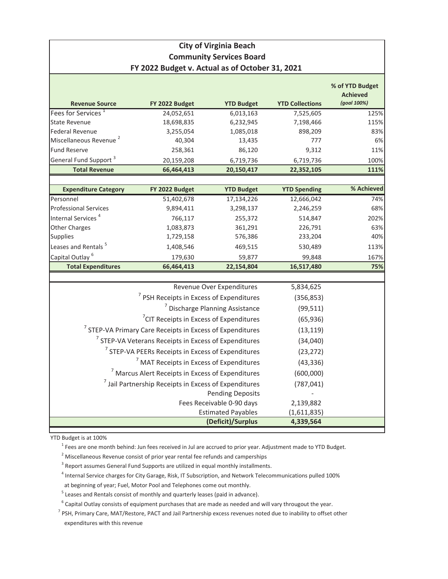# **City of Virginia Beach Community Services Board FY 2022 Budget v. Actual as of October 31, 2021**

| <b>Revenue Source</b>              | FY 2022 Budget                                                       | <b>YTD Budget</b>                          | <b>YTD Collections</b> | % of YTD Budget<br><b>Achieved</b><br>(goal 100%) |
|------------------------------------|----------------------------------------------------------------------|--------------------------------------------|------------------------|---------------------------------------------------|
| Fees for Services <sup>1</sup>     | 24,052,651                                                           | 6,013,163                                  | 7,525,605              | 125%                                              |
| <b>State Revenue</b>               | 18,698,835                                                           | 6,232,945                                  | 7,198,466              | 115%                                              |
| <b>Federal Revenue</b>             | 3,255,054                                                            | 1,085,018                                  | 898,209                | 83%                                               |
| Miscellaneous Revenue <sup>2</sup> | 40,304                                                               | 13,435                                     | 777                    | 6%                                                |
| <b>Fund Reserve</b>                | 258,361                                                              | 86,120                                     | 9,312                  | 11%                                               |
| General Fund Support <sup>3</sup>  | 20,159,208                                                           | 6,719,736                                  | 6,719,736              | 100%                                              |
| <b>Total Revenue</b>               | 66,464,413                                                           | 20,150,417                                 | 22,352,105             | 111%                                              |
|                                    |                                                                      |                                            |                        |                                                   |
| <b>Expenditure Category</b>        | FY 2022 Budget                                                       | <b>YTD Budget</b>                          | <b>YTD Spending</b>    | % Achieved                                        |
| Personnel                          | 51,402,678                                                           | 17,134,226                                 | 12,666,042             | 74%                                               |
| Professional Services              | 9,894,411                                                            | 3,298,137                                  | 2,246,259              | 68%                                               |
| Internal Services <sup>4</sup>     | 766,117                                                              | 255,372                                    | 514,847                | 202%                                              |
| Other Charges                      | 1,083,873                                                            | 361,291                                    | 226,791                | 63%                                               |
| <b>Supplies</b>                    | 1,729,158                                                            | 576,386                                    | 233,204                | 40%                                               |
| Leases and Rentals <sup>5</sup>    | 1,408,546                                                            | 469,515                                    | 530,489                | 113%                                              |
| Capital Outlay <sup>6</sup>        | 179,630                                                              | 59,877                                     | 99,848                 | 167%                                              |
| <b>Total Expenditures</b>          | 66,464,413                                                           | 22,154,804                                 | 16,517,480             | 75%                                               |
|                                    |                                                                      |                                            |                        |                                                   |
|                                    |                                                                      | Revenue Over Expenditures                  | 5,834,625              |                                                   |
|                                    | <sup>7</sup> PSH Receipts in Excess of Expenditures                  |                                            | (356, 853)             |                                                   |
|                                    |                                                                      | <sup>7</sup> Discharge Planning Assistance | (99, 511)              |                                                   |
|                                    | <sup>7</sup> CIT Receipts in Excess of Expenditures                  |                                            | (65, 936)              |                                                   |
|                                    | <sup>7</sup> STEP-VA Primary Care Receipts in Excess of Expenditures |                                            | (13, 119)              |                                                   |
|                                    | <sup>7</sup> STEP-VA Veterans Receipts in Excess of Expenditures     |                                            | (34,040)               |                                                   |
|                                    | <sup>7</sup> STEP-VA PEERs Receipts in Excess of Expenditures        |                                            | (23, 272)              |                                                   |
|                                    | <sup>7</sup> MAT Receipts in Excess of Expenditures                  |                                            | (43, 336)              |                                                   |
|                                    | <sup>7</sup> Marcus Alert Receipts in Excess of Expenditures         |                                            | (600,000)              |                                                   |
|                                    | <sup>7</sup> Jail Partnership Receipts in Excess of Expenditures     |                                            | (787, 041)             |                                                   |
|                                    |                                                                      | <b>Pending Deposits</b>                    |                        |                                                   |
|                                    |                                                                      | Fees Receivable 0-90 days                  | 2,139,882              |                                                   |
|                                    |                                                                      | <b>Estimated Payables</b>                  | (1,611,835)            |                                                   |
|                                    |                                                                      | (Deficit)/Surplus                          | 4,339,564              |                                                   |

YTD Budget is at 100%

<sup>1</sup> Fees are one month behind: Jun fees received in Jul are accrued to prior year. Adjustment made to YTD Budget.

 $^2$  Miscellaneous Revenue consist of prior year rental fee refunds and camperships

- $3$  Report assumes General Fund Supports are utilized in equal monthly installments.
- 4 Internal Service charges for City Garage, Risk, IT Subscription, and Network Telecommunications pulled 100%

at beginning of year; Fuel, Motor Pool and Telephones come out monthly.

 $<sup>5</sup>$  Leases and Rentals consist of monthly and quarterly leases (paid in advance).</sup>

 $^6$  Capital Outlay consists of equipment purchases that are made as needed and will vary througout the year.

 $^7$  PSH, Primary Care, MAT/Restore, PACT and Jail Partnership excess revenues noted due to inability to offset other expenditures with this revenue